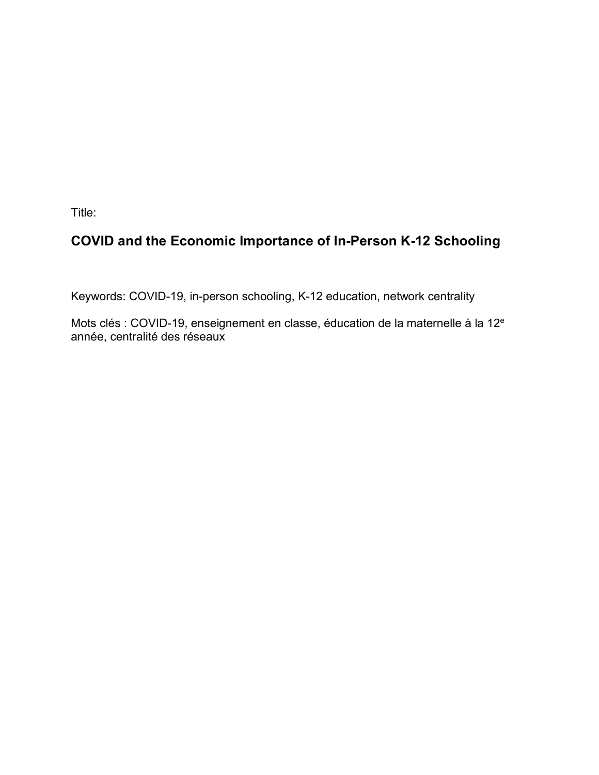Title:

# **COVID and the Economic Importance of In-Person K-12 Schooling**

Keywords: COVID-19, in-person schooling, K-12 education, network centrality

Mots clés : COVID-19, enseignement en classe, éducation de la maternelle à la 12<sup>e</sup> année, centralité des réseaux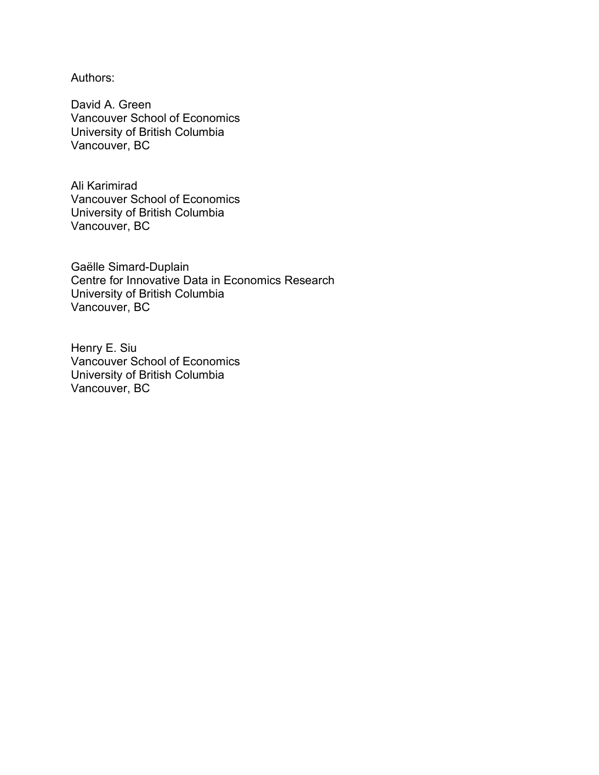Authors:

David A. Green Vancouver School of Economics University of British Columbia Vancouver, BC

Ali Karimirad Vancouver School of Economics University of British Columbia Vancouver, BC

Gaëlle Simard-Duplain Centre for Innovative Data in Economics Research University of British Columbia Vancouver, BC

Henry E. Siu Vancouver School of Economics University of British Columbia Vancouver, BC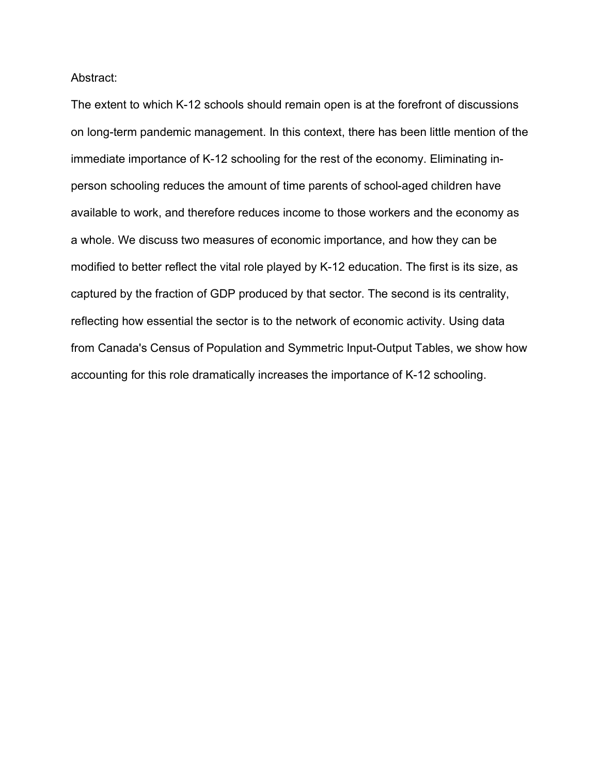Abstract:

The extent to which K-12 schools should remain open is at the forefront of discussions on long-term pandemic management. In this context, there has been little mention of the immediate importance of K-12 schooling for the rest of the economy. Eliminating inperson schooling reduces the amount of time parents of school-aged children have available to work, and therefore reduces income to those workers and the economy as a whole. We discuss two measures of economic importance, and how they can be modified to better reflect the vital role played by K-12 education. The first is its size, as captured by the fraction of GDP produced by that sector. The second is its centrality, reflecting how essential the sector is to the network of economic activity. Using data from Canada's Census of Population and Symmetric Input-Output Tables, we show how accounting for this role dramatically increases the importance of K-12 schooling.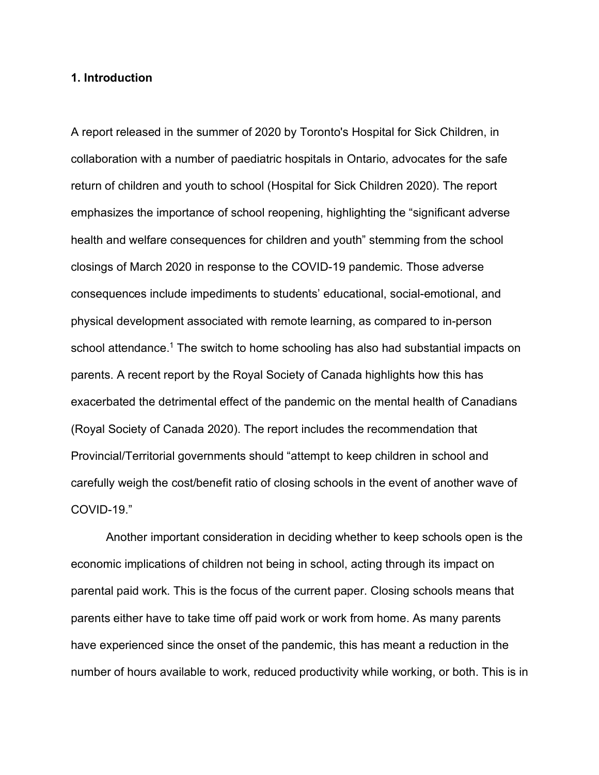## **1. Introduction**

A report released in the summer of 2020 by Toronto's Hospital for Sick Children, in collaboration with a number of paediatric hospitals in Ontario, advocates for the safe return of children and youth to school (Hospital for Sick Children 2020). The report emphasizes the importance of school reopening, highlighting the "significant adverse health and welfare consequences for children and youth" stemming from the school closings of March 2020 in response to the COVID-19 pandemic. Those adverse consequences include impediments to students' educational, social-emotional, and physical development associated with remote learning, as compared to in-person school attendance.<sup>1</sup> The switch to home schooling has also had substantial impacts on parents. A recent report by the Royal Society of Canada highlights how this has exacerbated the detrimental effect of the pandemic on the mental health of Canadians (Royal Society of Canada 2020). The report includes the recommendation that Provincial/Territorial governments should "attempt to keep children in school and carefully weigh the cost/benefit ratio of closing schools in the event of another wave of COVID-19."

Another important consideration in deciding whether to keep schools open is the economic implications of children not being in school, acting through its impact on parental paid work. This is the focus of the current paper. Closing schools means that parents either have to take time off paid work or work from home. As many parents have experienced since the onset of the pandemic, this has meant a reduction in the number of hours available to work, reduced productivity while working, or both. This is in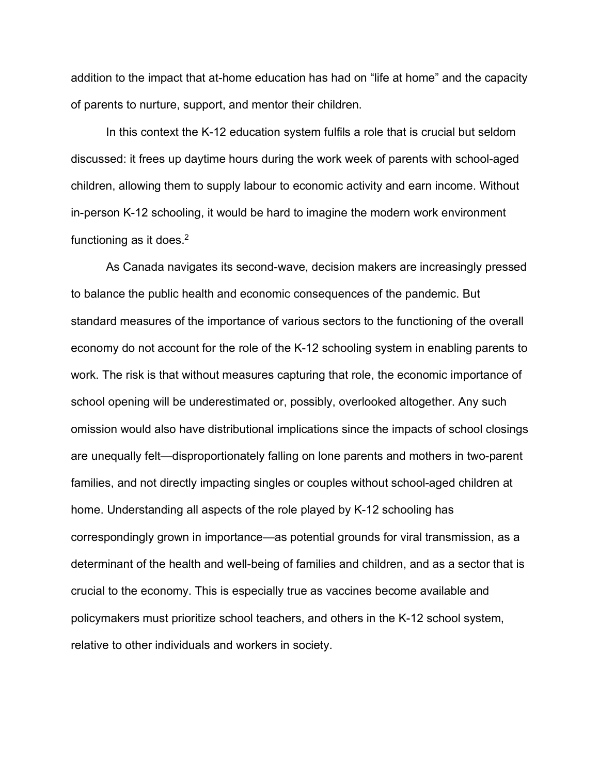addition to the impact that at-home education has had on "life at home" and the capacity of parents to nurture, support, and mentor their children.

In this context the K-12 education system fulfils a role that is crucial but seldom discussed: it frees up daytime hours during the work week of parents with school-aged children, allowing them to supply labour to economic activity and earn income. Without in-person K-12 schooling, it would be hard to imagine the modern work environment functioning as it does.<sup>2</sup>

As Canada navigates its second-wave, decision makers are increasingly pressed to balance the public health and economic consequences of the pandemic. But standard measures of the importance of various sectors to the functioning of the overall economy do not account for the role of the K-12 schooling system in enabling parents to work. The risk is that without measures capturing that role, the economic importance of school opening will be underestimated or, possibly, overlooked altogether. Any such omission would also have distributional implications since the impacts of school closings are unequally felt—disproportionately falling on lone parents and mothers in two-parent families, and not directly impacting singles or couples without school-aged children at home. Understanding all aspects of the role played by K-12 schooling has correspondingly grown in importance—as potential grounds for viral transmission, as a determinant of the health and well-being of families and children, and as a sector that is crucial to the economy. This is especially true as vaccines become available and policymakers must prioritize school teachers, and others in the K-12 school system, relative to other individuals and workers in society.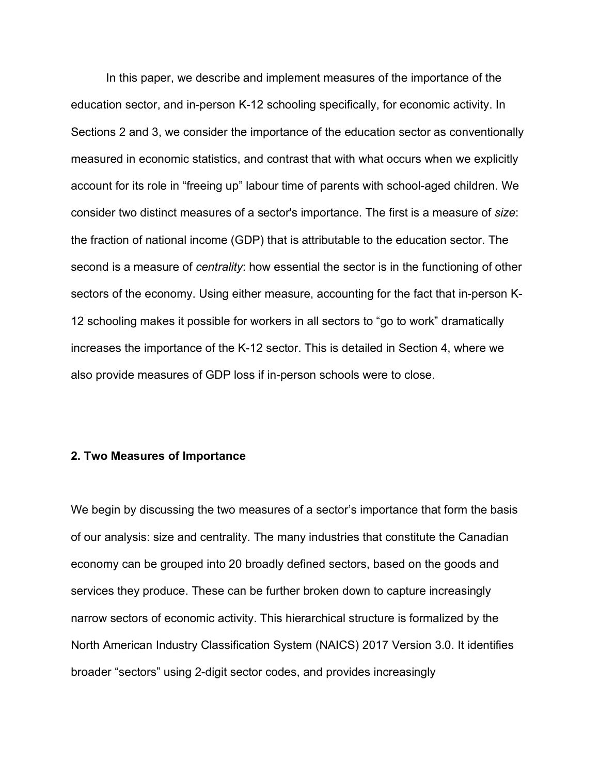In this paper, we describe and implement measures of the importance of the education sector, and in-person K-12 schooling specifically, for economic activity. In Sections 2 and 3, we consider the importance of the education sector as conventionally measured in economic statistics, and contrast that with what occurs when we explicitly account for its role in "freeing up" labour time of parents with school-aged children. We consider two distinct measures of a sector's importance. The first is a measure of *size*: the fraction of national income (GDP) that is attributable to the education sector. The second is a measure of *centrality*: how essential the sector is in the functioning of other sectors of the economy. Using either measure, accounting for the fact that in-person K-12 schooling makes it possible for workers in all sectors to "go to work" dramatically increases the importance of the K-12 sector. This is detailed in Section 4, where we also provide measures of GDP loss if in-person schools were to close.

#### **2. Two Measures of Importance**

We begin by discussing the two measures of a sector's importance that form the basis of our analysis: size and centrality. The many industries that constitute the Canadian economy can be grouped into 20 broadly defined sectors, based on the goods and services they produce. These can be further broken down to capture increasingly narrow sectors of economic activity. This hierarchical structure is formalized by the North American Industry Classification System (NAICS) 2017 Version 3.0. It identifies broader "sectors" using 2-digit sector codes, and provides increasingly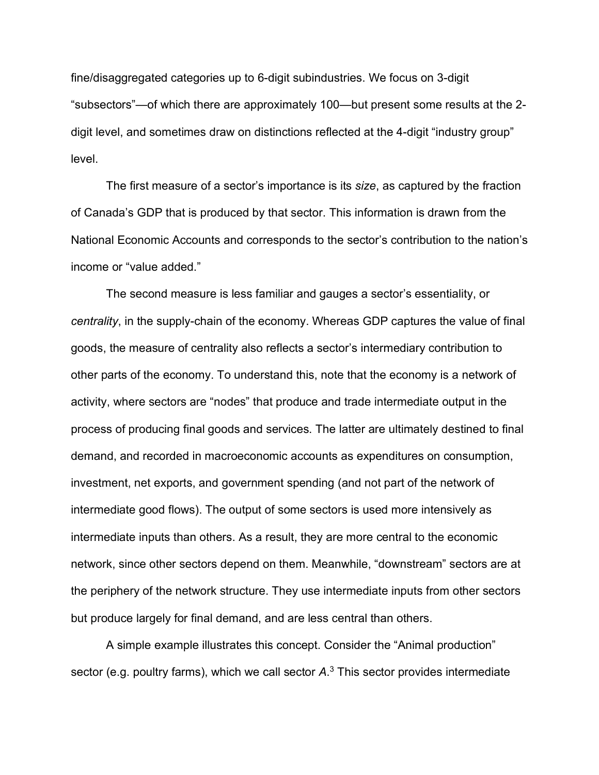fine/disaggregated categories up to 6-digit subindustries. We focus on 3-digit "subsectors"—of which there are approximately 100—but present some results at the 2 digit level, and sometimes draw on distinctions reflected at the 4-digit "industry group" level.

The first measure of a sector's importance is its *size*, as captured by the fraction of Canada's GDP that is produced by that sector. This information is drawn from the National Economic Accounts and corresponds to the sector's contribution to the nation's income or "value added."

The second measure is less familiar and gauges a sector's essentiality, or *centrality*, in the supply-chain of the economy. Whereas GDP captures the value of final goods, the measure of centrality also reflects a sector's intermediary contribution to other parts of the economy. To understand this, note that the economy is a network of activity, where sectors are "nodes" that produce and trade intermediate output in the process of producing final goods and services. The latter are ultimately destined to final demand, and recorded in macroeconomic accounts as expenditures on consumption, investment, net exports, and government spending (and not part of the network of intermediate good flows). The output of some sectors is used more intensively as intermediate inputs than others. As a result, they are more central to the economic network, since other sectors depend on them. Meanwhile, "downstream" sectors are at the periphery of the network structure. They use intermediate inputs from other sectors but produce largely for final demand, and are less central than others.

A simple example illustrates this concept. Consider the "Animal production" sector (e.g. poultry farms), which we call sector *A*. <sup>3</sup> This sector provides intermediate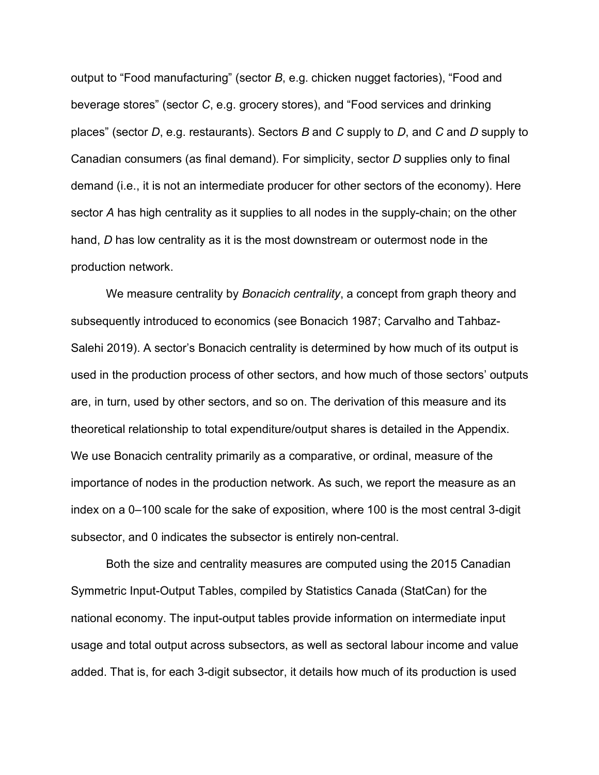output to "Food manufacturing" (sector *B*, e.g. chicken nugget factories), "Food and beverage stores" (sector *C*, e.g. grocery stores), and "Food services and drinking places" (sector *D*, e.g. restaurants). Sectors *B* and *C* supply to *D*, and *C* and *D* supply to Canadian consumers (as final demand). For simplicity, sector *D* supplies only to final demand (i.e., it is not an intermediate producer for other sectors of the economy). Here sector *A* has high centrality as it supplies to all nodes in the supply-chain; on the other hand, *D* has low centrality as it is the most downstream or outermost node in the production network.

We measure centrality by *Bonacich centrality*, a concept from graph theory and subsequently introduced to economics (see Bonacich 1987; Carvalho and Tahbaz-Salehi 2019). A sector's Bonacich centrality is determined by how much of its output is used in the production process of other sectors, and how much of those sectors' outputs are, in turn, used by other sectors, and so on. The derivation of this measure and its theoretical relationship to total expenditure/output shares is detailed in the Appendix. We use Bonacich centrality primarily as a comparative, or ordinal, measure of the importance of nodes in the production network. As such, we report the measure as an index on a 0–100 scale for the sake of exposition, where 100 is the most central 3-digit subsector, and 0 indicates the subsector is entirely non-central.

Both the size and centrality measures are computed using the 2015 Canadian Symmetric Input-Output Tables, compiled by Statistics Canada (StatCan) for the national economy. The input-output tables provide information on intermediate input usage and total output across subsectors, as well as sectoral labour income and value added. That is, for each 3-digit subsector, it details how much of its production is used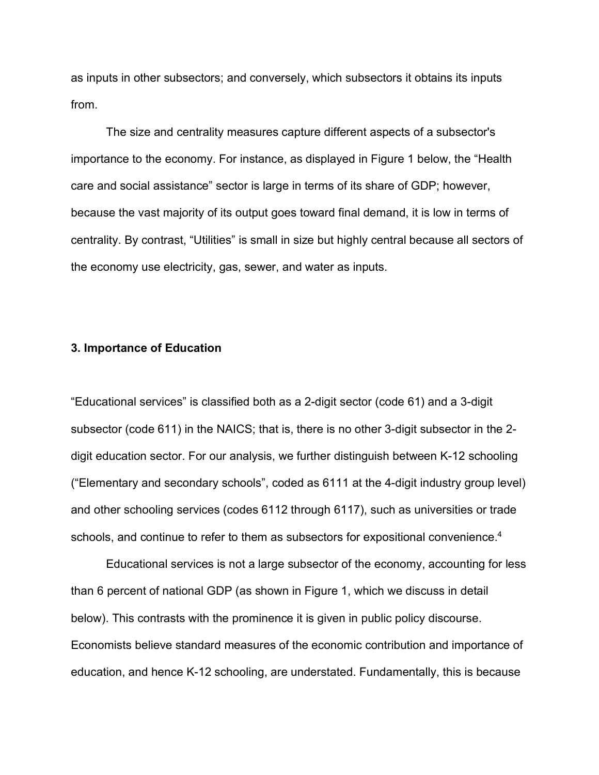as inputs in other subsectors; and conversely, which subsectors it obtains its inputs from.

The size and centrality measures capture different aspects of a subsector's importance to the economy. For instance, as displayed in Figure 1 below, the "Health care and social assistance" sector is large in terms of its share of GDP; however, because the vast majority of its output goes toward final demand, it is low in terms of centrality. By contrast, "Utilities" is small in size but highly central because all sectors of the economy use electricity, gas, sewer, and water as inputs.

#### **3. Importance of Education**

"Educational services" is classified both as a 2-digit sector (code 61) and a 3-digit subsector (code 611) in the NAICS; that is, there is no other 3-digit subsector in the 2 digit education sector. For our analysis, we further distinguish between K-12 schooling ("Elementary and secondary schools", coded as 6111 at the 4-digit industry group level) and other schooling services (codes 6112 through 6117), such as universities or trade schools, and continue to refer to them as subsectors for expositional convenience.<sup>4</sup>

Educational services is not a large subsector of the economy, accounting for less than 6 percent of national GDP (as shown in Figure 1, which we discuss in detail below). This contrasts with the prominence it is given in public policy discourse. Economists believe standard measures of the economic contribution and importance of education, and hence K-12 schooling, are understated. Fundamentally, this is because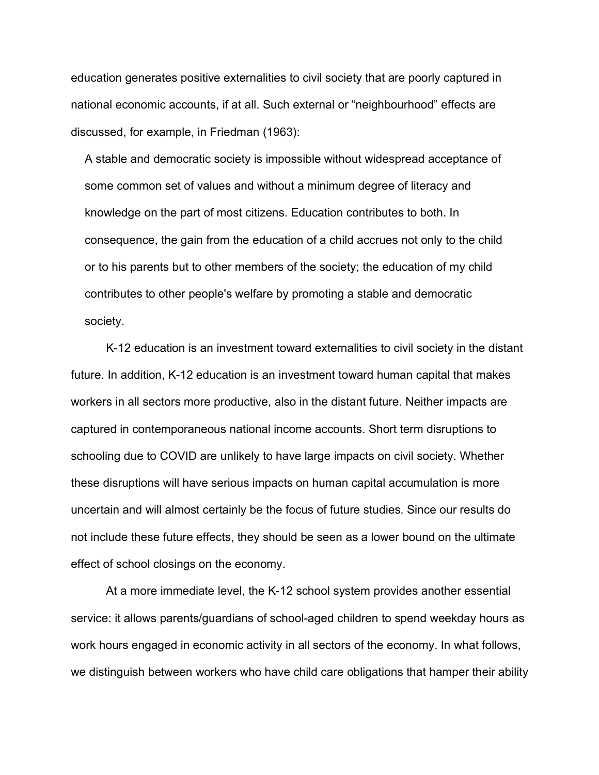education generates positive externalities to civil society that are poorly captured in national economic accounts, if at all. Such external or "neighbourhood" effects are discussed, for example, in Friedman (1963):

A stable and democratic society is impossible without widespread acceptance of some common set of values and without a minimum degree of literacy and knowledge on the part of most citizens. Education contributes to both. In consequence, the gain from the education of a child accrues not only to the child or to his parents but to other members of the society; the education of my child contributes to other people's welfare by promoting a stable and democratic society.

K-12 education is an investment toward externalities to civil society in the distant future. In addition, K-12 education is an investment toward human capital that makes workers in all sectors more productive, also in the distant future. Neither impacts are captured in contemporaneous national income accounts. Short term disruptions to schooling due to COVID are unlikely to have large impacts on civil society. Whether these disruptions will have serious impacts on human capital accumulation is more uncertain and will almost certainly be the focus of future studies. Since our results do not include these future effects, they should be seen as a lower bound on the ultimate effect of school closings on the economy.

At a more immediate level, the K-12 school system provides another essential service: it allows parents/guardians of school-aged children to spend weekday hours as work hours engaged in economic activity in all sectors of the economy. In what follows, we distinguish between workers who have child care obligations that hamper their ability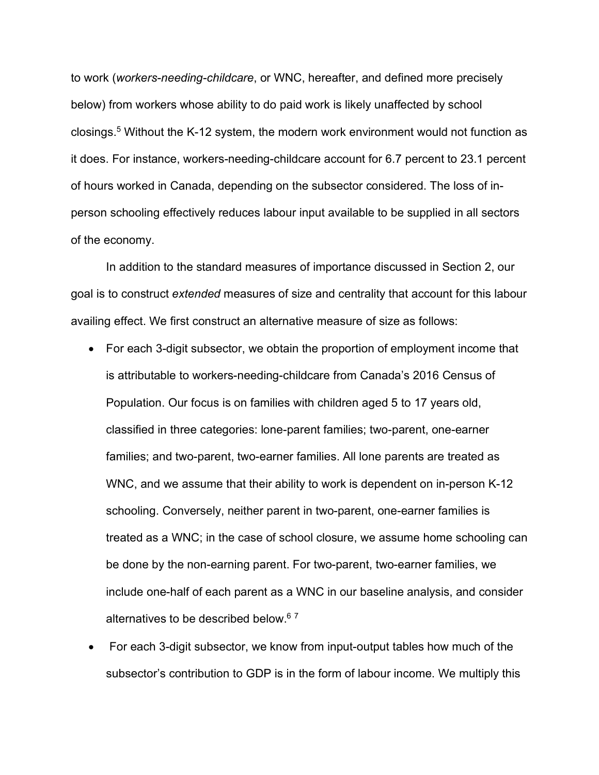to work (*workers-needing-childcare*, or WNC, hereafter, and defined more precisely below) from workers whose ability to do paid work is likely unaffected by school closings.5 Without the K-12 system, the modern work environment would not function as it does. For instance, workers-needing-childcare account for 6.7 percent to 23.1 percent of hours worked in Canada, depending on the subsector considered. The loss of inperson schooling effectively reduces labour input available to be supplied in all sectors of the economy.

In addition to the standard measures of importance discussed in Section 2, our goal is to construct *extended* measures of size and centrality that account for this labour availing effect. We first construct an alternative measure of size as follows:

- For each 3-digit subsector, we obtain the proportion of employment income that is attributable to workers-needing-childcare from Canada's 2016 Census of Population. Our focus is on families with children aged 5 to 17 years old, classified in three categories: lone-parent families; two-parent, one-earner families; and two-parent, two-earner families. All lone parents are treated as WNC, and we assume that their ability to work is dependent on in-person K-12 schooling. Conversely, neither parent in two-parent, one-earner families is treated as a WNC; in the case of school closure, we assume home schooling can be done by the non-earning parent. For two-parent, two-earner families, we include one-half of each parent as a WNC in our baseline analysis, and consider alternatives to be described below.<sup>67</sup>
- For each 3-digit subsector, we know from input-output tables how much of the subsector's contribution to GDP is in the form of labour income. We multiply this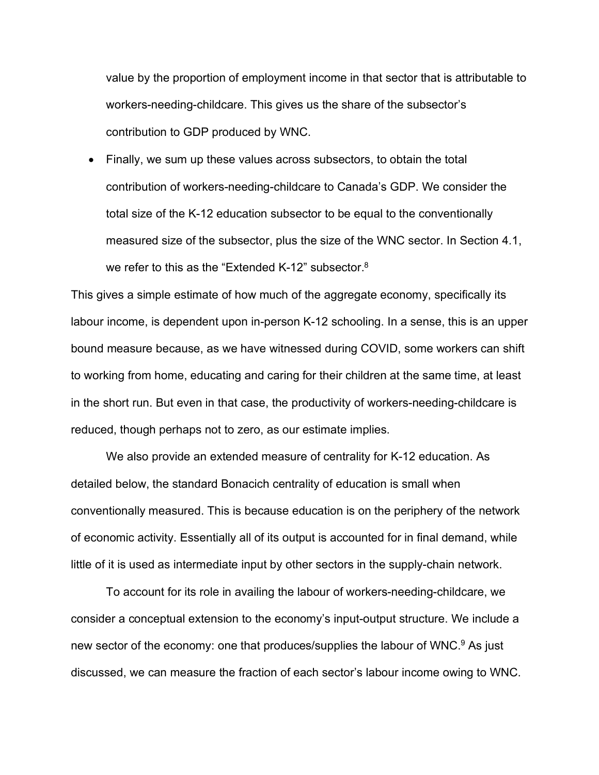value by the proportion of employment income in that sector that is attributable to workers-needing-childcare. This gives us the share of the subsector's contribution to GDP produced by WNC.

• Finally, we sum up these values across subsectors, to obtain the total contribution of workers-needing-childcare to Canada's GDP. We consider the total size of the K-12 education subsector to be equal to the conventionally measured size of the subsector, plus the size of the WNC sector. In Section 4.1, we refer to this as the "Extended K-12" subsector.<sup>8</sup>

This gives a simple estimate of how much of the aggregate economy, specifically its labour income, is dependent upon in-person K-12 schooling. In a sense, this is an upper bound measure because, as we have witnessed during COVID, some workers can shift to working from home, educating and caring for their children at the same time, at least in the short run. But even in that case, the productivity of workers-needing-childcare is reduced, though perhaps not to zero, as our estimate implies.

We also provide an extended measure of centrality for K-12 education. As detailed below, the standard Bonacich centrality of education is small when conventionally measured. This is because education is on the periphery of the network of economic activity. Essentially all of its output is accounted for in final demand, while little of it is used as intermediate input by other sectors in the supply-chain network.

To account for its role in availing the labour of workers-needing-childcare, we consider a conceptual extension to the economy's input-output structure. We include a new sector of the economy: one that produces/supplies the labour of WNC.<sup>9</sup> As just discussed, we can measure the fraction of each sector's labour income owing to WNC.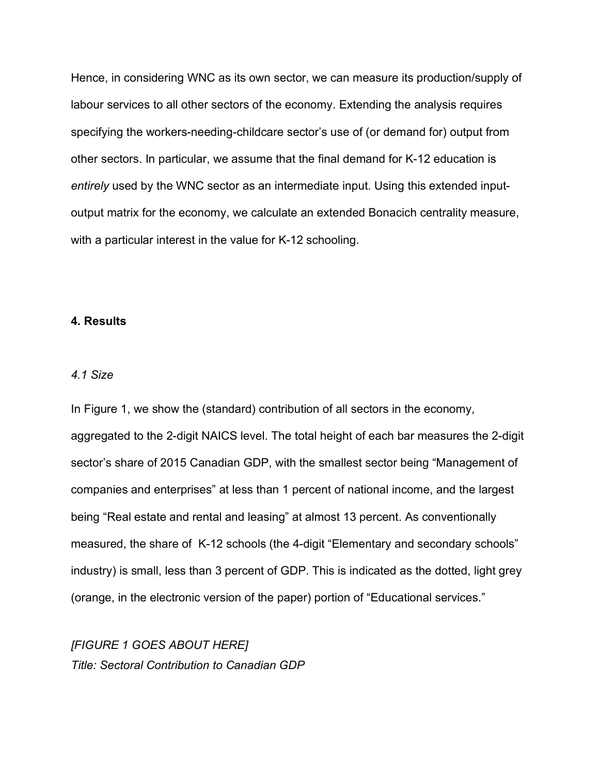Hence, in considering WNC as its own sector, we can measure its production/supply of labour services to all other sectors of the economy. Extending the analysis requires specifying the workers-needing-childcare sector's use of (or demand for) output from other sectors. In particular, we assume that the final demand for K-12 education is *entirely* used by the WNC sector as an intermediate input. Using this extended inputoutput matrix for the economy, we calculate an extended Bonacich centrality measure, with a particular interest in the value for K-12 schooling.

#### **4. Results**

#### *4.1 Size*

In Figure 1, we show the (standard) contribution of all sectors in the economy, aggregated to the 2-digit NAICS level. The total height of each bar measures the 2-digit sector's share of 2015 Canadian GDP, with the smallest sector being "Management of companies and enterprises" at less than 1 percent of national income, and the largest being "Real estate and rental and leasing" at almost 13 percent. As conventionally measured, the share of K-12 schools (the 4-digit "Elementary and secondary schools" industry) is small, less than 3 percent of GDP. This is indicated as the dotted, light grey (orange, in the electronic version of the paper) portion of "Educational services."

*[FIGURE 1 GOES ABOUT HERE] Title: Sectoral Contribution to Canadian GDP*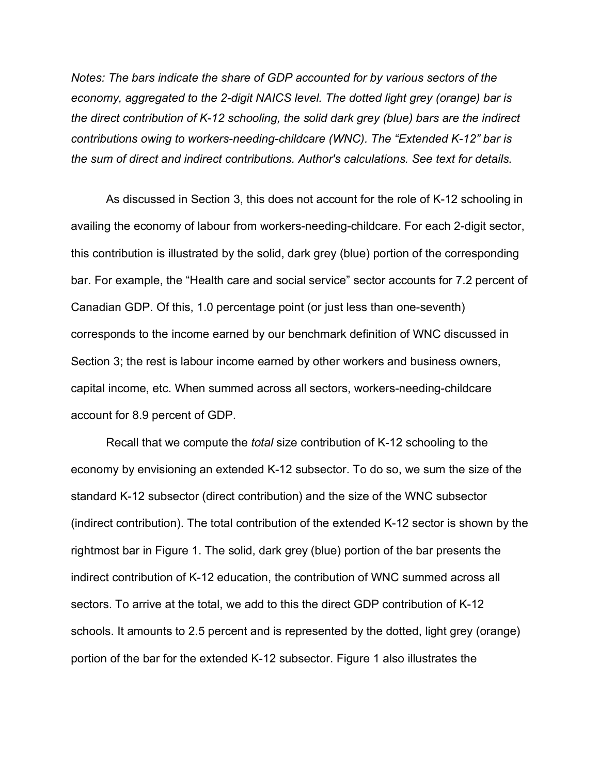*Notes: The bars indicate the share of GDP accounted for by various sectors of the economy, aggregated to the 2-digit NAICS level. The dotted light grey (orange) bar is the direct contribution of K-12 schooling, the solid dark grey (blue) bars are the indirect contributions owing to workers-needing-childcare (WNC). The "Extended K-12" bar is the sum of direct and indirect contributions. Author's calculations. See text for details.*

As discussed in Section 3, this does not account for the role of K-12 schooling in availing the economy of labour from workers-needing-childcare. For each 2-digit sector, this contribution is illustrated by the solid, dark grey (blue) portion of the corresponding bar. For example, the "Health care and social service" sector accounts for 7.2 percent of Canadian GDP. Of this, 1.0 percentage point (or just less than one-seventh) corresponds to the income earned by our benchmark definition of WNC discussed in Section 3; the rest is labour income earned by other workers and business owners, capital income, etc. When summed across all sectors, workers-needing-childcare account for 8.9 percent of GDP.

Recall that we compute the *total* size contribution of K-12 schooling to the economy by envisioning an extended K-12 subsector. To do so, we sum the size of the standard K-12 subsector (direct contribution) and the size of the WNC subsector (indirect contribution). The total contribution of the extended K-12 sector is shown by the rightmost bar in Figure 1. The solid, dark grey (blue) portion of the bar presents the indirect contribution of K-12 education, the contribution of WNC summed across all sectors. To arrive at the total, we add to this the direct GDP contribution of K-12 schools. It amounts to 2.5 percent and is represented by the dotted, light grey (orange) portion of the bar for the extended K-12 subsector. Figure 1 also illustrates the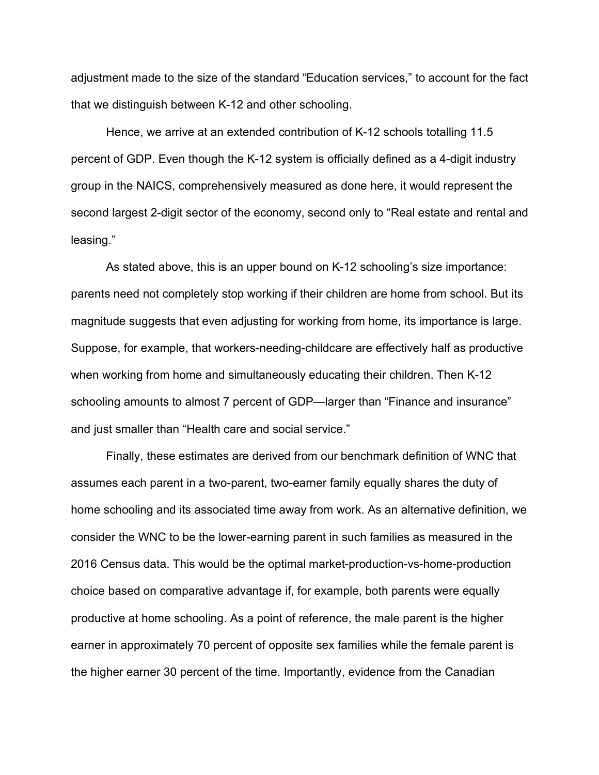adjustment made to the size of the standard "Education services," to account for the fact that we distinguish between K-12 and other schooling.

Hence, we arrive at an extended contribution of K-12 schools totalling 11.5 percent of GDP. Even though the K-12 system is officially defined as a 4-digit industry group in the NAICS, comprehensively measured as done here, it would represent the second largest 2-digit sector of the economy, second only to "Real estate and rental and leasing."

As stated above, this is an upper bound on K-12 schooling's size importance: parents need not completely stop working if their children are home from school. But its magnitude suggests that even adjusting for working from home, its importance is large. Suppose, for example, that workers-needing-childcare are effectively half as productive when working from home and simultaneously educating their children. Then K-12 schooling amounts to almost 7 percent of GDP—larger than "Finance and insurance" and just smaller than "Health care and social service."

Finally, these estimates are derived from our benchmark definition of WNC that assumes each parent in a two-parent, two-earner family equally shares the duty of home schooling and its associated time away from work. As an alternative definition, we consider the WNC to be the lower-earning parent in such families as measured in the 2016 Census data. This would be the optimal market-production-vs-home-production choice based on comparative advantage if, for example, both parents were equally productive at home schooling. As a point of reference, the male parent is the higher earner in approximately 70 percent of opposite sex families while the female parent is the higher earner 30 percent of the time. Importantly, evidence from the Canadian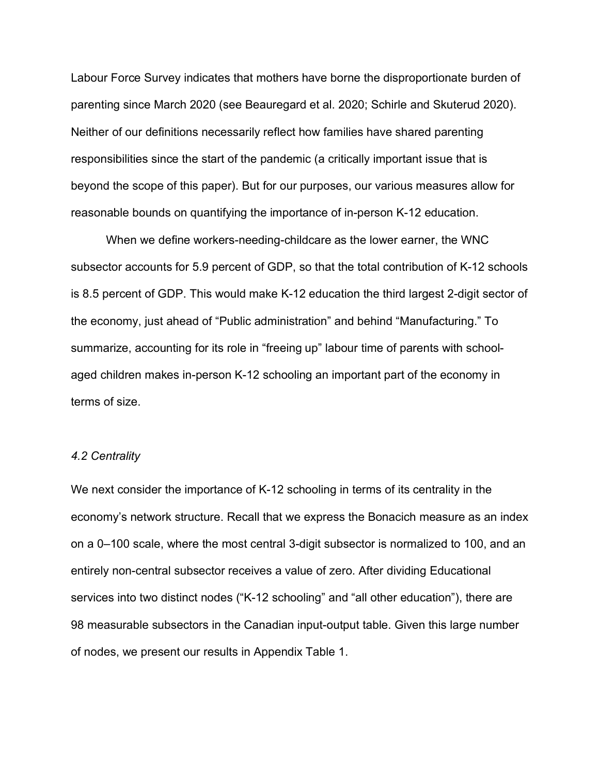Labour Force Survey indicates that mothers have borne the disproportionate burden of parenting since March 2020 (see Beauregard et al. 2020; Schirle and Skuterud 2020). Neither of our definitions necessarily reflect how families have shared parenting responsibilities since the start of the pandemic (a critically important issue that is beyond the scope of this paper). But for our purposes, our various measures allow for reasonable bounds on quantifying the importance of in-person K-12 education.

When we define workers-needing-childcare as the lower earner, the WNC subsector accounts for 5.9 percent of GDP, so that the total contribution of K-12 schools is 8.5 percent of GDP. This would make K-12 education the third largest 2-digit sector of the economy, just ahead of "Public administration" and behind "Manufacturing." To summarize, accounting for its role in "freeing up" labour time of parents with schoolaged children makes in-person K-12 schooling an important part of the economy in terms of size.

#### *4.2 Centrality*

We next consider the importance of K-12 schooling in terms of its centrality in the economy's network structure. Recall that we express the Bonacich measure as an index on a 0–100 scale, where the most central 3-digit subsector is normalized to 100, and an entirely non-central subsector receives a value of zero. After dividing Educational services into two distinct nodes ("K-12 schooling" and "all other education"), there are 98 measurable subsectors in the Canadian input-output table. Given this large number of nodes, we present our results in Appendix Table 1.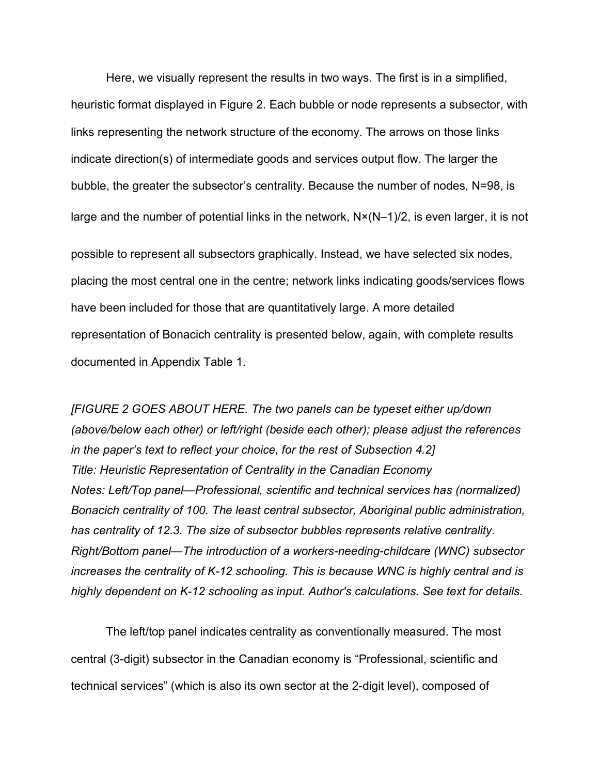Here, we visually represent the results in two ways. The first is in a simplified, heuristic format displayed in Figure 2. Each bubble or node represents a subsector, with links representing the network structure of the economy. The arrows on those links indicate direction(s) of intermediate goods and services output flow. The larger the bubble, the greater the subsector's centrality. Because the number of nodes, N=98, is large and the number of potential links in the network, N×(N–1)/2, is even larger, it is not possible to represent all subsectors graphically. Instead, we have selected six nodes, placing the most central one in the centre; network links indicating goods/services flows have been included for those that are quantitatively large. A more detailed representation of Bonacich centrality is presented below, again, with complete results documented in Appendix Table 1.

*[FIGURE 2 GOES ABOUT HERE. The two panels can be typeset either up/down (above/below each other) or left/right (beside each other); please adjust the references in the paper's text to reflect your choice, for the rest of Subsection 4.2] Title: Heuristic Representation of Centrality in the Canadian Economy Notes: Left/Top panel*—*Professional, scientific and technical services has (normalized) Bonacich centrality of 100. The least central subsector, Aboriginal public administration, has centrality of 12.3. The size of subsector bubbles represents relative centrality. Right/Bottom panel*—*The introduction of a workers-needing-childcare (WNC) subsector increases the centrality of K-12 schooling. This is because WNC is highly central and is highly dependent on K-12 schooling as input. Author's calculations. See text for details.*

The left/top panel indicates centrality as conventionally measured. The most central (3-digit) subsector in the Canadian economy is "Professional, scientific and technical services" (which is also its own sector at the 2-digit level), composed of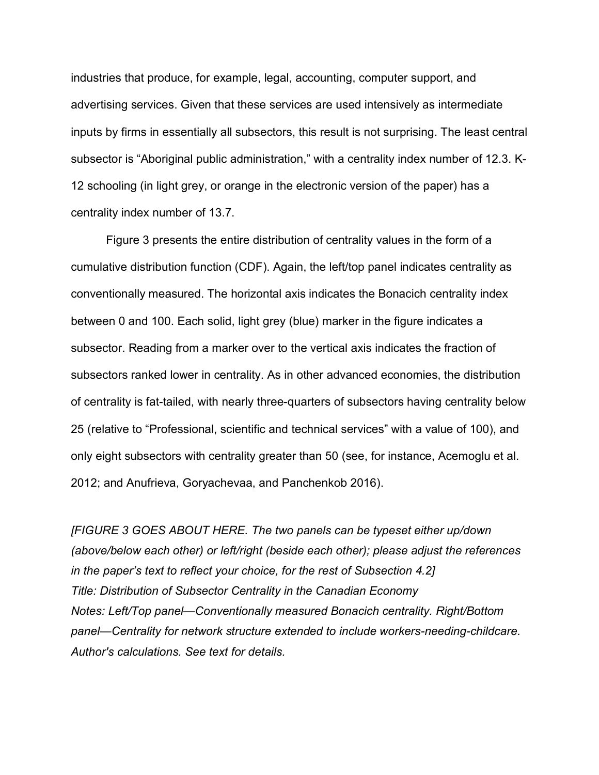industries that produce, for example, legal, accounting, computer support, and advertising services. Given that these services are used intensively as intermediate inputs by firms in essentially all subsectors, this result is not surprising. The least central subsector is "Aboriginal public administration," with a centrality index number of 12.3. K-12 schooling (in light grey, or orange in the electronic version of the paper) has a centrality index number of 13.7.

Figure 3 presents the entire distribution of centrality values in the form of a cumulative distribution function (CDF). Again, the left/top panel indicates centrality as conventionally measured. The horizontal axis indicates the Bonacich centrality index between 0 and 100. Each solid, light grey (blue) marker in the figure indicates a subsector. Reading from a marker over to the vertical axis indicates the fraction of subsectors ranked lower in centrality. As in other advanced economies, the distribution of centrality is fat-tailed, with nearly three-quarters of subsectors having centrality below 25 (relative to "Professional, scientific and technical services" with a value of 100), and only eight subsectors with centrality greater than 50 (see, for instance, Acemoglu et al. 2012; and Anufrieva, Goryachevaa, and Panchenkob 2016).

*[FIGURE 3 GOES ABOUT HERE. The two panels can be typeset either up/down (above/below each other) or left/right (beside each other); please adjust the references in the paper's text to reflect your choice, for the rest of Subsection 4.2] Title: Distribution of Subsector Centrality in the Canadian Economy Notes: Left/Top panel*—*Conventionally measured Bonacich centrality. Right/Bottom panel*—*Centrality for network structure extended to include workers-needing-childcare. Author's calculations. See text for details.*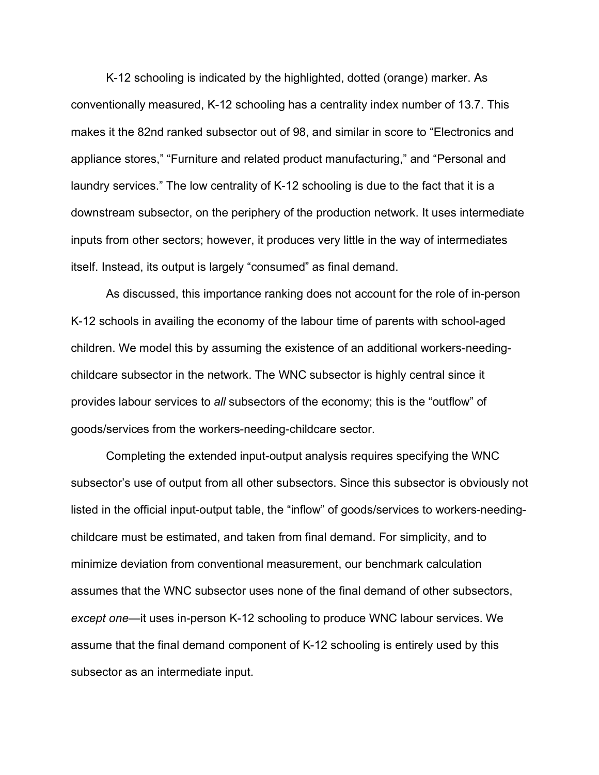K-12 schooling is indicated by the highlighted, dotted (orange) marker. As conventionally measured, K-12 schooling has a centrality index number of 13.7. This makes it the 82nd ranked subsector out of 98, and similar in score to "Electronics and appliance stores," "Furniture and related product manufacturing," and "Personal and laundry services." The low centrality of K-12 schooling is due to the fact that it is a downstream subsector, on the periphery of the production network. It uses intermediate inputs from other sectors; however, it produces very little in the way of intermediates itself. Instead, its output is largely "consumed" as final demand.

As discussed, this importance ranking does not account for the role of in-person K-12 schools in availing the economy of the labour time of parents with school-aged children. We model this by assuming the existence of an additional workers-needingchildcare subsector in the network. The WNC subsector is highly central since it provides labour services to *all* subsectors of the economy; this is the "outflow" of goods/services from the workers-needing-childcare sector.

Completing the extended input-output analysis requires specifying the WNC subsector's use of output from all other subsectors. Since this subsector is obviously not listed in the official input-output table, the "inflow" of goods/services to workers-needingchildcare must be estimated, and taken from final demand. For simplicity, and to minimize deviation from conventional measurement, our benchmark calculation assumes that the WNC subsector uses none of the final demand of other subsectors, *except one*—it uses in-person K-12 schooling to produce WNC labour services. We assume that the final demand component of K-12 schooling is entirely used by this subsector as an intermediate input.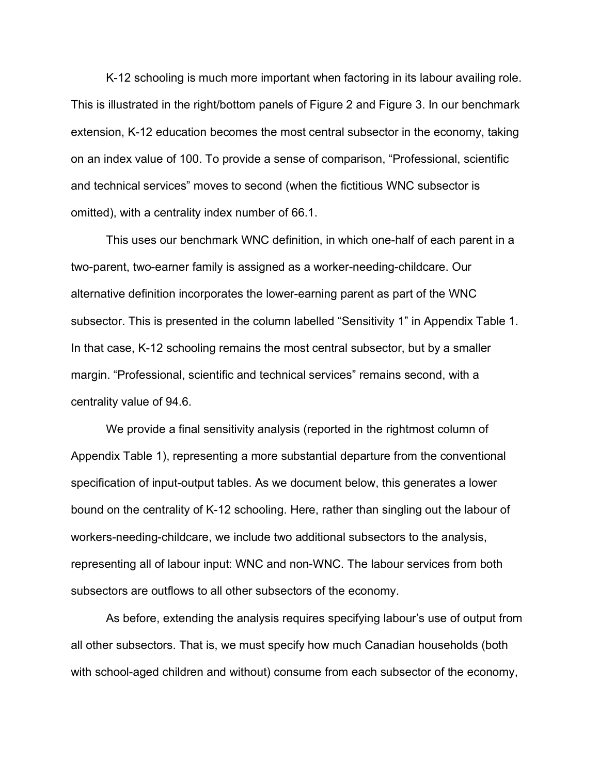K-12 schooling is much more important when factoring in its labour availing role. This is illustrated in the right/bottom panels of Figure 2 and Figure 3. In our benchmark extension, K-12 education becomes the most central subsector in the economy, taking on an index value of 100. To provide a sense of comparison, "Professional, scientific and technical services" moves to second (when the fictitious WNC subsector is omitted), with a centrality index number of 66.1.

This uses our benchmark WNC definition, in which one-half of each parent in a two-parent, two-earner family is assigned as a worker-needing-childcare. Our alternative definition incorporates the lower-earning parent as part of the WNC subsector. This is presented in the column labelled "Sensitivity 1" in Appendix Table 1. In that case, K-12 schooling remains the most central subsector, but by a smaller margin. "Professional, scientific and technical services" remains second, with a centrality value of 94.6.

We provide a final sensitivity analysis (reported in the rightmost column of Appendix Table 1), representing a more substantial departure from the conventional specification of input-output tables. As we document below, this generates a lower bound on the centrality of K-12 schooling. Here, rather than singling out the labour of workers-needing-childcare, we include two additional subsectors to the analysis, representing all of labour input: WNC and non-WNC. The labour services from both subsectors are outflows to all other subsectors of the economy.

As before, extending the analysis requires specifying labour's use of output from all other subsectors. That is, we must specify how much Canadian households (both with school-aged children and without) consume from each subsector of the economy,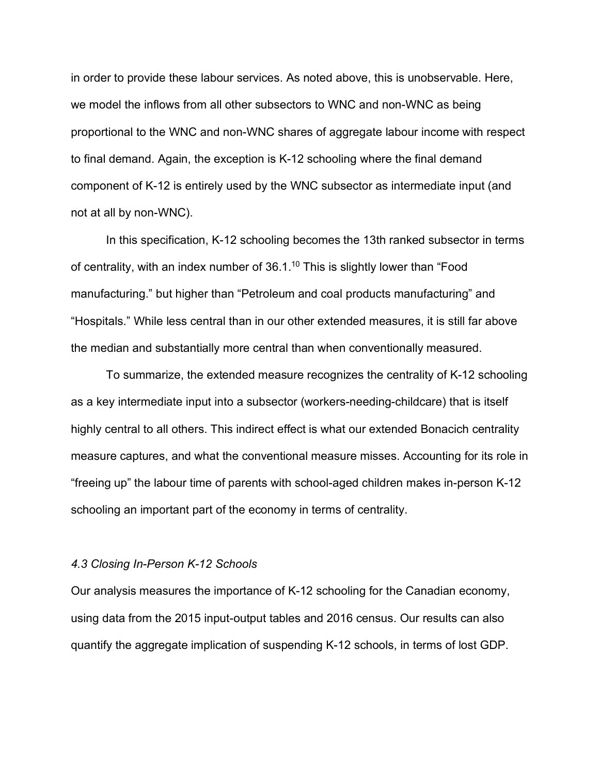in order to provide these labour services. As noted above, this is unobservable. Here, we model the inflows from all other subsectors to WNC and non-WNC as being proportional to the WNC and non-WNC shares of aggregate labour income with respect to final demand. Again, the exception is K-12 schooling where the final demand component of K-12 is entirely used by the WNC subsector as intermediate input (and not at all by non-WNC).

In this specification, K-12 schooling becomes the 13th ranked subsector in terms of centrality, with an index number of  $36.1<sup>10</sup>$  This is slightly lower than "Food manufacturing." but higher than "Petroleum and coal products manufacturing" and "Hospitals." While less central than in our other extended measures, it is still far above the median and substantially more central than when conventionally measured.

To summarize, the extended measure recognizes the centrality of K-12 schooling as a key intermediate input into a subsector (workers-needing-childcare) that is itself highly central to all others. This indirect effect is what our extended Bonacich centrality measure captures, and what the conventional measure misses. Accounting for its role in "freeing up" the labour time of parents with school-aged children makes in-person K-12 schooling an important part of the economy in terms of centrality.

#### *4.3 Closing In-Person K-12 Schools*

Our analysis measures the importance of K-12 schooling for the Canadian economy, using data from the 2015 input-output tables and 2016 census. Our results can also quantify the aggregate implication of suspending K-12 schools, in terms of lost GDP.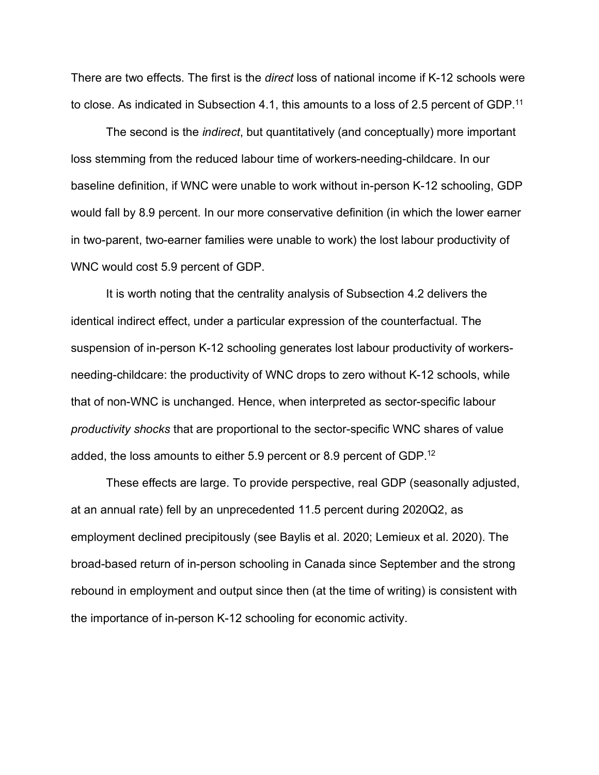There are two effects. The first is the *direct* loss of national income if K-12 schools were to close. As indicated in Subsection 4.1, this amounts to a loss of 2.5 percent of GDP.<sup>11</sup>

The second is the *indirect*, but quantitatively (and conceptually) more important loss stemming from the reduced labour time of workers-needing-childcare. In our baseline definition, if WNC were unable to work without in-person K-12 schooling, GDP would fall by 8.9 percent. In our more conservative definition (in which the lower earner in two-parent, two-earner families were unable to work) the lost labour productivity of WNC would cost 5.9 percent of GDP.

It is worth noting that the centrality analysis of Subsection 4.2 delivers the identical indirect effect, under a particular expression of the counterfactual. The suspension of in-person K-12 schooling generates lost labour productivity of workersneeding-childcare: the productivity of WNC drops to zero without K-12 schools, while that of non-WNC is unchanged. Hence, when interpreted as sector-specific labour *productivity shocks* that are proportional to the sector-specific WNC shares of value added, the loss amounts to either 5.9 percent or 8.9 percent of GDP.12

These effects are large. To provide perspective, real GDP (seasonally adjusted, at an annual rate) fell by an unprecedented 11.5 percent during 2020Q2, as employment declined precipitously (see Baylis et al. 2020; Lemieux et al. 2020). The broad-based return of in-person schooling in Canada since September and the strong rebound in employment and output since then (at the time of writing) is consistent with the importance of in-person K-12 schooling for economic activity.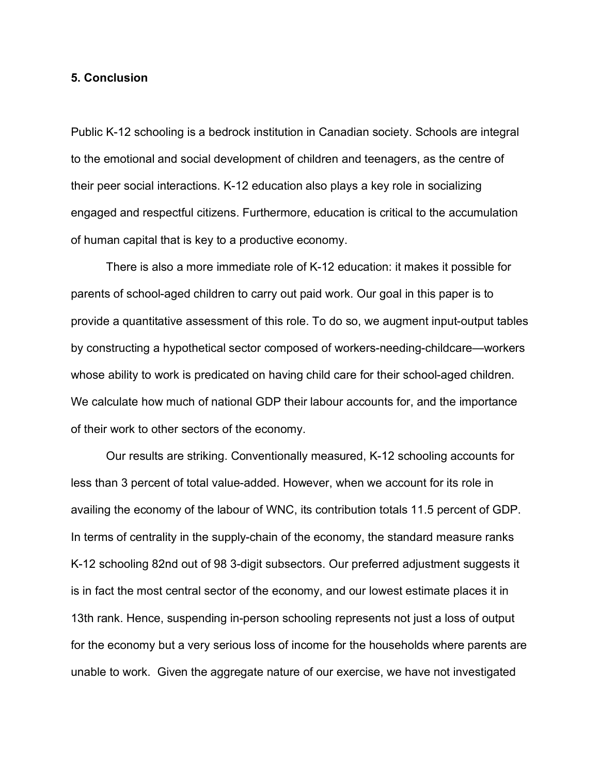## **5. Conclusion**

Public K-12 schooling is a bedrock institution in Canadian society. Schools are integral to the emotional and social development of children and teenagers, as the centre of their peer social interactions. K-12 education also plays a key role in socializing engaged and respectful citizens. Furthermore, education is critical to the accumulation of human capital that is key to a productive economy.

There is also a more immediate role of K-12 education: it makes it possible for parents of school-aged children to carry out paid work. Our goal in this paper is to provide a quantitative assessment of this role. To do so, we augment input-output tables by constructing a hypothetical sector composed of workers-needing-childcare—workers whose ability to work is predicated on having child care for their school-aged children. We calculate how much of national GDP their labour accounts for, and the importance of their work to other sectors of the economy.

Our results are striking. Conventionally measured, K-12 schooling accounts for less than 3 percent of total value-added. However, when we account for its role in availing the economy of the labour of WNC, its contribution totals 11.5 percent of GDP. In terms of centrality in the supply-chain of the economy, the standard measure ranks K-12 schooling 82nd out of 98 3-digit subsectors. Our preferred adjustment suggests it is in fact the most central sector of the economy, and our lowest estimate places it in 13th rank. Hence, suspending in-person schooling represents not just a loss of output for the economy but a very serious loss of income for the households where parents are unable to work. Given the aggregate nature of our exercise, we have not investigated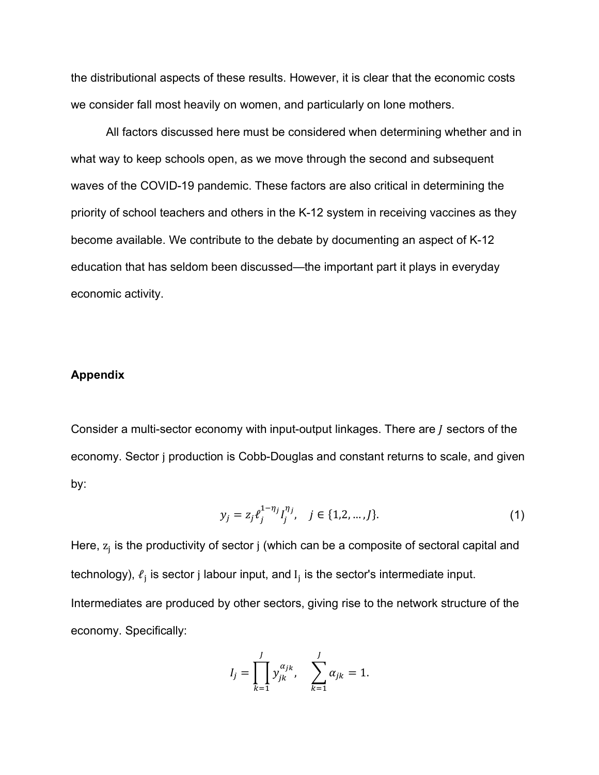the distributional aspects of these results. However, it is clear that the economic costs we consider fall most heavily on women, and particularly on lone mothers.

All factors discussed here must be considered when determining whether and in what way to keep schools open, as we move through the second and subsequent waves of the COVID-19 pandemic. These factors are also critical in determining the priority of school teachers and others in the K-12 system in receiving vaccines as they become available. We contribute to the debate by documenting an aspect of K-12 education that has seldom been discussed—the important part it plays in everyday economic activity.

#### **Appendix**

Consider a multi-sector economy with input-output linkages. There are  *sectors of the* economy. Sector j production is Cobb-Douglas and constant returns to scale, and given by:

$$
y_j = z_j \ell_j^{1 - \eta_j} I_j^{\eta_j}, \quad j \in \{1, 2, \dots, J\}.
$$
 (1)

Here,  $z_i$  is the productivity of sector j (which can be a composite of sectoral capital and technology),  $\ell_j$  is sector j labour input, and  $I_j$  is the sector's intermediate input. Intermediates are produced by other sectors, giving rise to the network structure of the economy. Specifically:

$$
I_j = \prod_{k=1}^{j} y_{jk}^{\alpha_{jk}}, \quad \sum_{k=1}^{j} \alpha_{jk} = 1.
$$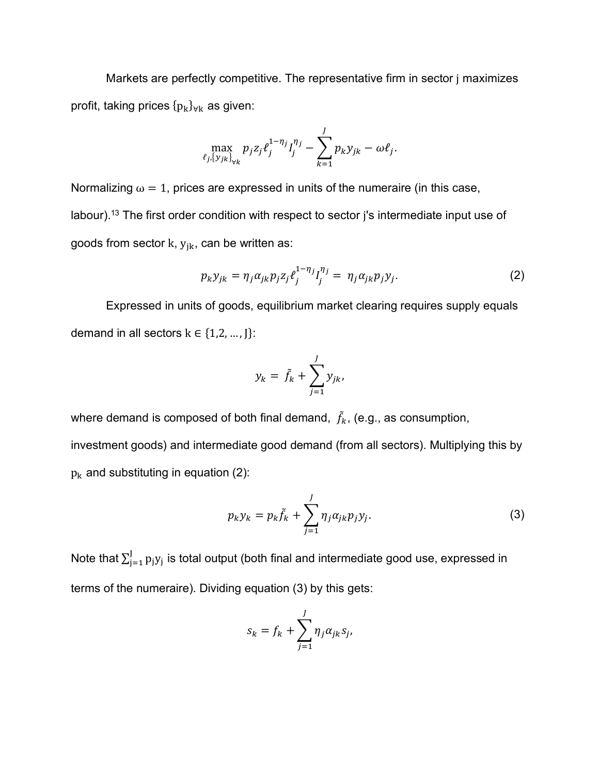Markets are perfectly competitive. The representative firm in sector j maximizes profit, taking prices  ${p_k}_{\forall k}$  as given:

$$
\max_{\ell_j, \{y_{jk}\}_{\forall k}} p_j z_j \ell_j^{1 - \eta_j} I_j^{\eta_j} - \sum_{k=1}^J p_k y_{jk} - \omega \ell_j.
$$

Normalizing  $\omega = 1$ , prices are expressed in units of the numeraire (in this case, labour).<sup>13</sup> The first order condition with respect to sector j's intermediate input use of goods from sector k,  $y_{jk}$ , can be written as:

$$
p_k y_{jk} = \eta_j \alpha_{jk} p_j z_j \ell_j^{1 - \eta_j} I_j^{\eta_j} = \eta_j \alpha_{jk} p_j y_j. \tag{2}
$$

Expressed in units of goods, equilibrium market clearing requires supply equals demand in all sectors  $k \in \{1,2,...,J\}$ :

$$
y_k = \tilde{f}_k + \sum_{j=1}^J y_{jk},
$$

where demand is composed of both final demand,  $\,\tilde{f}_{k}$ , (e.g., as consumption,

investment goods) and intermediate good demand (from all sectors). Multiplying this by  $p_k$  and substituting in equation (2):

$$
p_k y_k = p_k \tilde{f}_k + \sum_{j=1}^J \eta_j \alpha_{jk} p_j y_j.
$$
 (3)

Note that  $\sum_{j=1}^J p_j y_j$  is total output (both final and intermediate good use, expressed in terms of the numeraire). Dividing equation (3) by this gets:

$$
s_k = f_k + \sum_{j=1}^J \eta_j \alpha_{jk} s_j,
$$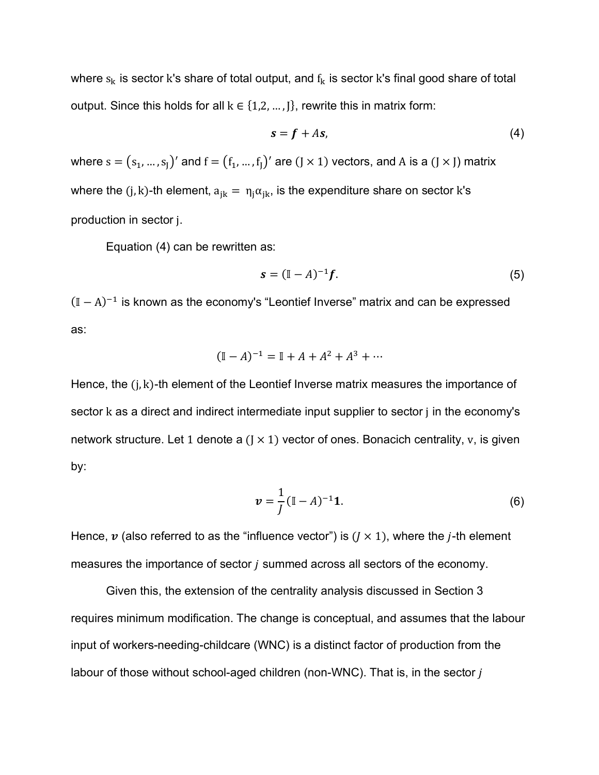where  $s_k$  is sector k's share of total output, and  $f_k$  is sector k's final good share of total output. Since this holds for all  $k \in \{1,2,...,J\}$ , rewrite this in matrix form:

$$
s = f + As,\tag{4}
$$

where  $s = (s_1, ..., s_J)'$  and  $f = (f_1, ..., f_J)'$  are  $(J \times 1)$  vectors, and A is a  $(J \times J)$  matrix where the (j, k)-th element,  $a_{ik} = \eta_i \alpha_{ik}$ , is the expenditure share on sector k's production in sector j.

Equation (4) can be rewritten as:

$$
s = (\mathbb{I} - A)^{-1}f. \tag{5}
$$

 $(I - A)^{-1}$  is known as the economy's "Leontief Inverse" matrix and can be expressed as:

$$
(\mathbb{I} - A)^{-1} = \mathbb{I} + A + A^2 + A^3 + \cdots
$$

Hence, the  $(i, k)$ -th element of the Leontief Inverse matrix measures the importance of sector k as a direct and indirect intermediate input supplier to sector j in the economy's network structure. Let 1 denote a  $(J \times 1)$  vector of ones. Bonacich centrality, v, is given by:

$$
v = \frac{1}{J} (\mathbb{I} - A)^{-1} \mathbf{1}.
$$
 (6)

Hence,  $\boldsymbol{v}$  (also referred to as the "influence vector") is ( $J \times 1$ ), where the j-th element measures the importance of sector  $j$  summed across all sectors of the economy.

Given this, the extension of the centrality analysis discussed in Section 3 requires minimum modification. The change is conceptual, and assumes that the labour input of workers-needing-childcare (WNC) is a distinct factor of production from the labour of those without school-aged children (non-WNC). That is, in the sector j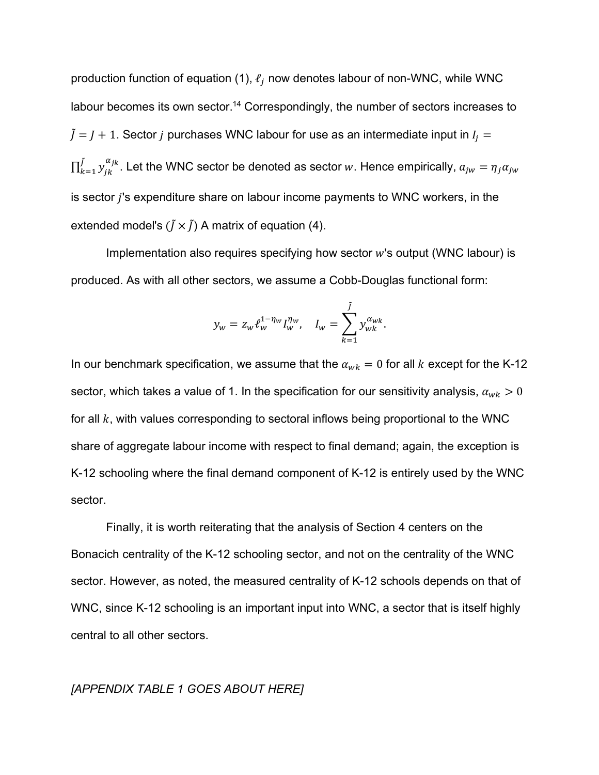production function of equation (1),  $\ell_i$  now denotes labour of non-WNC, while WNC labour becomes its own sector.<sup>14</sup> Correspondingly, the number of sectors increases to  $\tilde{J} = J + 1$ . Sector *j* purchases WNC labour for use as an intermediate input in  $I_j =$  $\prod_{k=1}^{\tilde{J}}\mathcal{Y}_{jk}^{\alpha_{jk}}.$  Let the WNC sector be denoted as sector  $w.$  Hence empirically,  $a_{jw}=\eta_j a_{jw}$ is sector  $j$ 's expenditure share on labour income payments to WNC workers, in the extended model's  $(\tilde{I} \times \tilde{I})$  A matrix of equation (4).

Implementation also requires specifying how sector  $w$ 's output (WNC labour) is produced. As with all other sectors, we assume a Cobb-Douglas functional form:

$$
y_w = z_w \ell_w^{1 - \eta_w} I_w^{\eta_w}, \quad I_w = \sum_{k=1}^{j} y_{wk}^{\alpha_{wk}}.
$$

In our benchmark specification, we assume that the  $\alpha_{wk} = 0$  for all k except for the K-12 sector, which takes a value of 1. In the specification for our sensitivity analysis,  $\alpha_{wk} > 0$ for all  $k$ , with values corresponding to sectoral inflows being proportional to the WNC share of aggregate labour income with respect to final demand; again, the exception is K-12 schooling where the final demand component of K-12 is entirely used by the WNC sector.

Finally, it is worth reiterating that the analysis of Section 4 centers on the Bonacich centrality of the K-12 schooling sector, and not on the centrality of the WNC sector. However, as noted, the measured centrality of K-12 schools depends on that of WNC, since K-12 schooling is an important input into WNC, a sector that is itself highly central to all other sectors.

# *[APPENDIX TABLE 1 GOES ABOUT HERE]*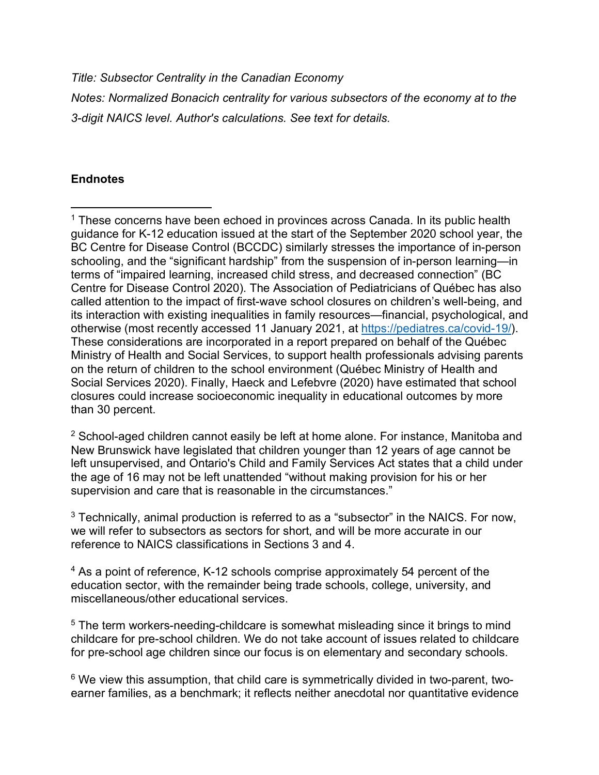*Title: Subsector Centrality in the Canadian Economy*

*Notes: Normalized Bonacich centrality for various subsectors of the economy at to the 3-digit NAICS level. Author's calculations. See text for details.*

# **Endnotes**

 $\overline{a}$ 

 $1$  These concerns have been echoed in provinces across Canada. In its public health guidance for K-12 education issued at the start of the September 2020 school year, the BC Centre for Disease Control (BCCDC) similarly stresses the importance of in-person schooling, and the "significant hardship" from the suspension of in-person learning—in terms of "impaired learning, increased child stress, and decreased connection" (BC Centre for Disease Control 2020). The Association of Pediatricians of Québec has also called attention to the impact of first-wave school closures on children's well-being, and its interaction with existing inequalities in family resources—financial, psychological, and otherwise (most recently accessed 11 January 2021, at https://pediatres.ca/covid-19/). These considerations are incorporated in a report prepared on behalf of the Québec Ministry of Health and Social Services, to support health professionals advising parents on the return of children to the school environment (Québec Ministry of Health and Social Services 2020). Finally, Haeck and Lefebvre (2020) have estimated that school closures could increase socioeconomic inequality in educational outcomes by more than 30 percent.

<sup>2</sup> School-aged children cannot easily be left at home alone. For instance, Manitoba and New Brunswick have legislated that children younger than 12 years of age cannot be left unsupervised, and Ontario's Child and Family Services Act states that a child under the age of 16 may not be left unattended "without making provision for his or her supervision and care that is reasonable in the circumstances."

<sup>3</sup> Technically, animal production is referred to as a "subsector" in the NAICS. For now, we will refer to subsectors as sectors for short, and will be more accurate in our reference to NAICS classifications in Sections 3 and 4.

<sup>4</sup> As a point of reference, K-12 schools comprise approximately 54 percent of the education sector, with the remainder being trade schools, college, university, and miscellaneous/other educational services.

<sup>5</sup> The term workers-needing-childcare is somewhat misleading since it brings to mind childcare for pre-school children. We do not take account of issues related to childcare for pre-school age children since our focus is on elementary and secondary schools.

<sup>6</sup> We view this assumption, that child care is symmetrically divided in two-parent, twoearner families, as a benchmark; it reflects neither anecdotal nor quantitative evidence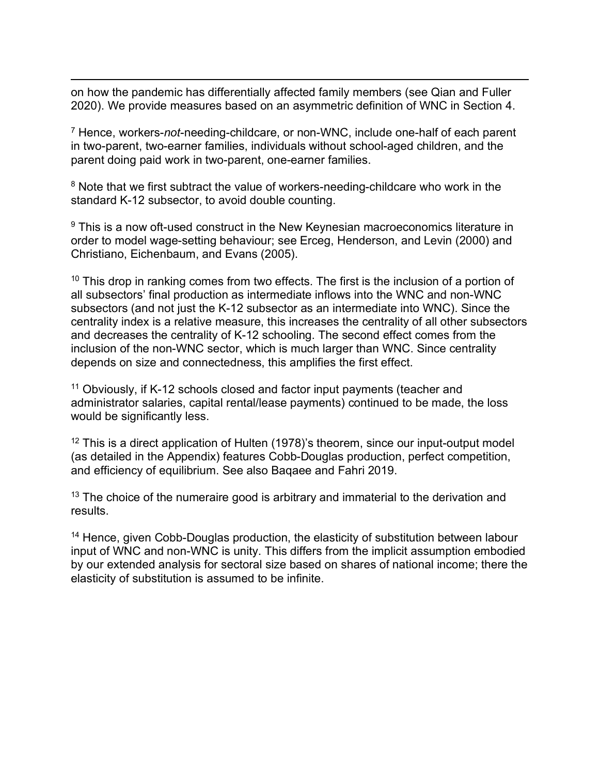$\overline{a}$ on how the pandemic has differentially affected family members (see Qian and Fuller 2020). We provide measures based on an asymmetric definition of WNC in Section 4.

<sup>7</sup> Hence, workers-*not*-needing-childcare, or non-WNC, include one-half of each parent in two-parent, two-earner families, individuals without school-aged children, and the parent doing paid work in two-parent, one-earner families.

<sup>8</sup> Note that we first subtract the value of workers-needing-childcare who work in the standard K-12 subsector, to avoid double counting.

<sup>9</sup> This is a now oft-used construct in the New Keynesian macroeconomics literature in order to model wage-setting behaviour; see Erceg, Henderson, and Levin (2000) and Christiano, Eichenbaum, and Evans (2005).

 $10$  This drop in ranking comes from two effects. The first is the inclusion of a portion of all subsectors' final production as intermediate inflows into the WNC and non-WNC subsectors (and not just the K-12 subsector as an intermediate into WNC). Since the centrality index is a relative measure, this increases the centrality of all other subsectors and decreases the centrality of K-12 schooling. The second effect comes from the inclusion of the non-WNC sector, which is much larger than WNC. Since centrality depends on size and connectedness, this amplifies the first effect.

<sup>11</sup> Obviously, if K-12 schools closed and factor input payments (teacher and administrator salaries, capital rental/lease payments) continued to be made, the loss would be significantly less.

 $12$  This is a direct application of Hulten (1978)'s theorem, since our input-output model (as detailed in the Appendix) features Cobb-Douglas production, perfect competition, and efficiency of equilibrium. See also Baqaee and Fahri 2019.

 $13$  The choice of the numeraire good is arbitrary and immaterial to the derivation and results.

<sup>14</sup> Hence, given Cobb-Douglas production, the elasticity of substitution between labour input of WNC and non-WNC is unity. This differs from the implicit assumption embodied by our extended analysis for sectoral size based on shares of national income; there the elasticity of substitution is assumed to be infinite.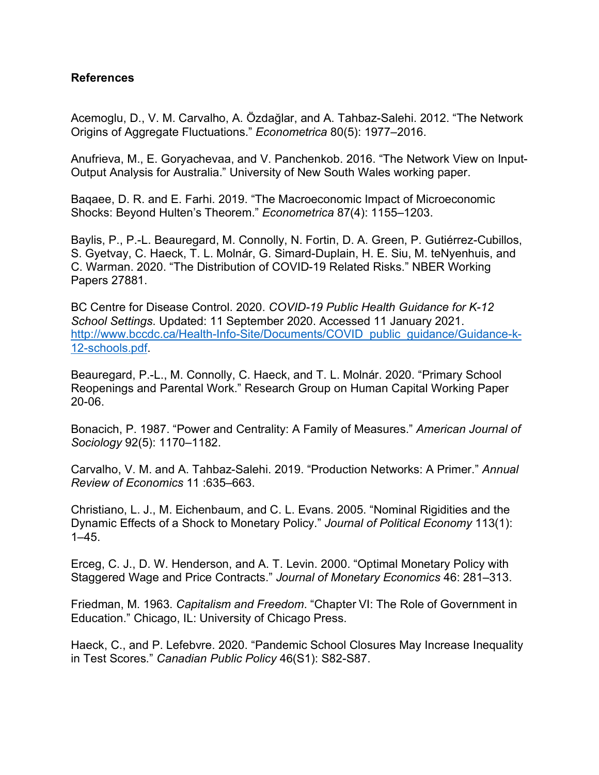# **References**

Acemoglu, D., V. M. Carvalho, A. Özdağlar, and A. Tahbaz-Salehi. 2012. "The Network Origins of Aggregate Fluctuations." *Econometrica* 80(5): 1977–2016.

Anufrieva, M., E. Goryachevaa, and V. Panchenkob. 2016. "The Network View on Input-Output Analysis for Australia." University of New South Wales working paper.

Baqaee, D. R. and E. Farhi. 2019. "The Macroeconomic Impact of Microeconomic Shocks: Beyond Hulten's Theorem." *Econometrica* 87(4): 1155–1203.

Baylis, P., P.-L. Beauregard, M. Connolly, N. Fortin, D. A. Green, P. Gutiérrez-Cubillos, S. Gyetvay, C. Haeck, T. L. Molnár, G. Simard-Duplain, H. E. Siu, M. teNyenhuis, and C. Warman. 2020. "The Distribution of COVID-19 Related Risks." NBER Working Papers 27881.

BC Centre for Disease Control. 2020. *COVID-19 Public Health Guidance for K-12 School Settings*. Updated: 11 September 2020. Accessed 11 January 2021. http://www.bccdc.ca/Health-Info-Site/Documents/COVID public guidance/Guidance-k-12-schools.pdf.

Beauregard, P.-L., M. Connolly, C. Haeck, and T. L. Molnár. 2020. "Primary School Reopenings and Parental Work." Research Group on Human Capital Working Paper 20-06.

Bonacich, P. 1987. "Power and Centrality: A Family of Measures." *American Journal of Sociology* 92(5): 1170–1182.

Carvalho, V. M. and A. Tahbaz-Salehi. 2019. "Production Networks: A Primer." *Annual Review of Economics* 11 :635–663.

Christiano, L. J., M. Eichenbaum, and C. L. Evans. 2005. "Nominal Rigidities and the Dynamic Effects of a Shock to Monetary Policy." *Journal of Political Economy* 113(1):  $1-45.$ 

Erceg, C. J., D. W. Henderson, and A. T. Levin. 2000. "Optimal Monetary Policy with Staggered Wage and Price Contracts." *Journal of Monetary Economics* 46: 281–313.

Friedman, M. 1963. *Capitalism and Freedom*. "Chapter VI: The Role of Government in Education." Chicago, IL: University of Chicago Press.

Haeck, C., and P. Lefebvre. 2020. "Pandemic School Closures May Increase Inequality in Test Scores." *Canadian Public Policy* 46(S1): S82-S87.